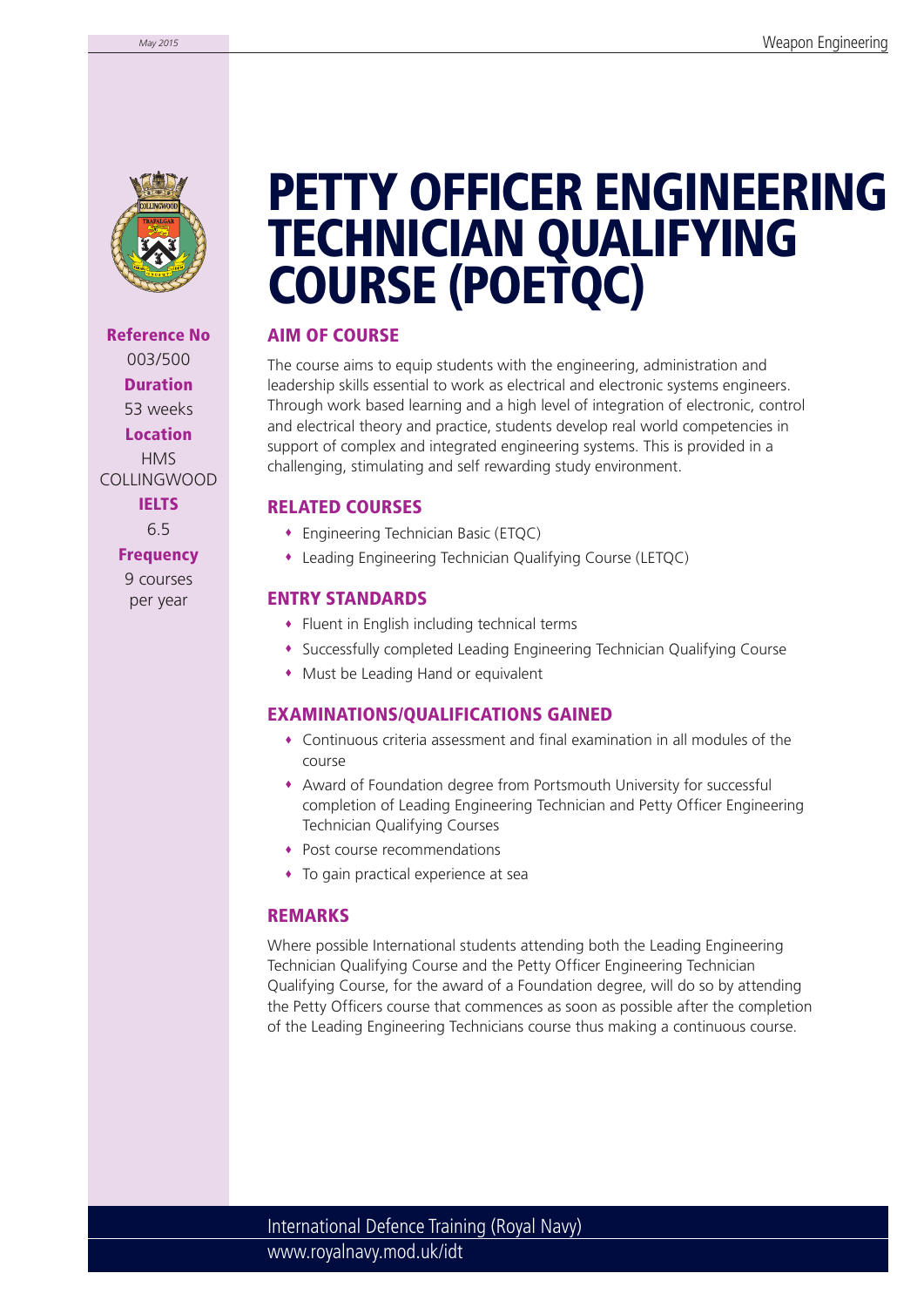

**Reference No** 003/500 **Duration** 53 weeks **Location** HMS COLLINGWOOD **IELTS**

6.5

**Frequency**

9 courses per year

## **PETTY OFFICER ENGINEERING TECHNICIAN QUALIFYING COURSE (POETQC)**

## **AIM OF COURSE**

The course aims to equip students with the engineering, administration and leadership skills essential to work as electrical and electronic systems engineers. Through work based learning and a high level of integration of electronic, control and electrical theory and practice, students develop real world competencies in support of complex and integrated engineering systems. This is provided in a challenging, stimulating and self rewarding study environment.

### **RELATED COURSES**

- Engineering Technician Basic (ETQC)
- Leading Engineering Technician Qualifying Course (LETQC)

### **ENTRY STANDARDS**

- Fluent in English including technical terms
- Successfully completed Leading Engineering Technician Qualifying Course
- Must be Leading Hand or equivalent

## **EXAMINATIONS/QUALIFICATIONS GAINED**

- $\bullet$  Continuous criteria assessment and final examination in all modules of the course
- Award of Foundation degree from Portsmouth University for successful completion of Leading Engineering Technician and Petty Officer Engineering Technician Qualifying Courses
- Post course recommendations
- To gain practical experience at sea

#### **REMARKS**

Where possible International students attending both the Leading Engineering Technician Qualifying Course and the Petty Officer Engineering Technician Qualifying Course, for the award of a Foundation degree, will do so by attending the Petty Officers course that commences as soon as possible after the completion of the Leading Engineering Technicians course thus making a continuous course.